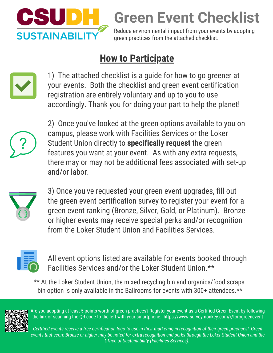

**Green Event Checklist**

Reduce environmental impact from your events by adopting green practices from the attached checklist.

## **How to Participate**



1) The attached checklist is a guide for how to go greener at your events. Both the checklist and green event certification registration are entirely voluntary and up to you to use accordingly. Thank you for doing your part to help the planet!



2) Once you've looked at the green options available to you on campus, please work with Facilities Services or the Loker Student Union directly to **specifically request** the green features you want at your event. As with any extra requests, there may or may not be additional fees associated with set-up and/or labor.



3) Once you've requested your green event upgrades, fill out the green event certification survey to register your event for a green event ranking (Bronze, Silver, Gold, or Platinum). Bronze or higher events may receive special perks and/or recognition from the Loker Student Union and Facilities Services.



All event options listed are available for events booked through Facilities Services and/or the Loker Student Union.\*\*

\*\* At the Loker Student Union, the mixed recycling bin and organics/food scraps bin option is only available in the Ballrooms for events with 300+ attendees.\*\*



Are you adopting at least 5 points worth of green practices? Register your event as a Certified Green Event by following the link or scanning the QR code to the left with your smartphone: https://www.surveymonkey.com/r/torogreenevent

*Certified events receive a free certification logo to use in their marketing in recognition of their green practices! Green events that score Bronze or higher may be noted for extra recognition and perks through the Loker Student Union and the Office of Sustainability (Facilities Services).*